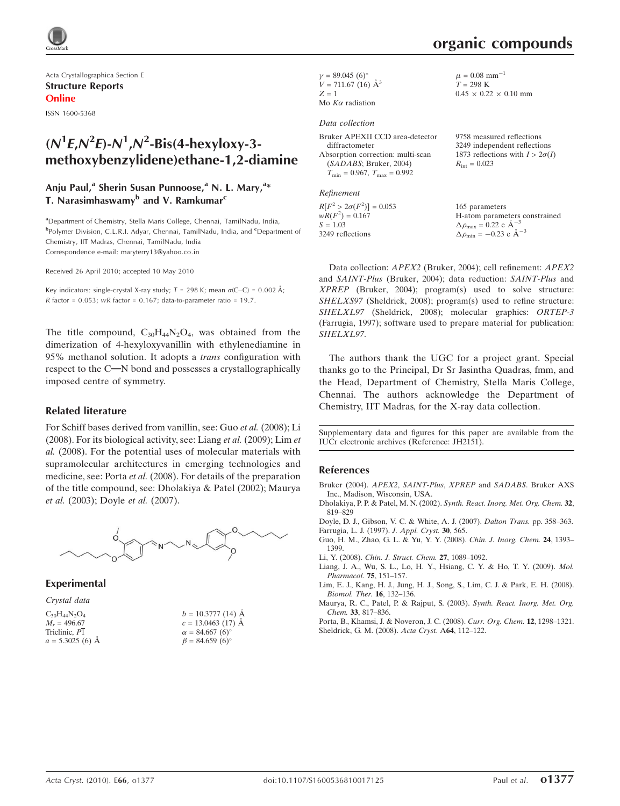

Acta Crystallographica Section E Structure Reports Online

ISSN 1600-5368

# $(N<sup>1</sup>E, N<sup>2</sup>E) - N<sup>1</sup>, N<sup>2</sup> - Bis(4 - heavyloy-3$ methoxybenzylidene)ethane-1,2-diamine

### Anju Paul,<sup>a</sup> Sherin Susan Punnoose,<sup>a</sup> N. L. Mary,<sup>a</sup>\* T. Narasimhaswamy<sup>b</sup> and V. Ramkumar<sup>c</sup>

<sup>a</sup>Department of Chemistry, Stella Maris College, Chennai, TamilNadu, India, b<br>Polymer Division, C.L.R.I. Adyar, Chennai, TamilNadu, India, and <sup>c</sup>Department of Chemistry, IIT Madras, Chennai, TamilNadu, India Correspondence e-mail: maryterry13@yahoo.co.in

Received 26 April 2010; accepted 10 May 2010

Key indicators: single-crystal X-ray study;  $T = 298$  K; mean  $\sigma$ (C–C) = 0.002 Å; R factor =  $0.053$ ; wR factor =  $0.167$ ; data-to-parameter ratio = 19.7.

The title compound,  $C_{30}H_{44}N_2O_4$ , was obtained from the dimerization of 4-hexyloxyvanillin with ethylenediamine in 95% methanol solution. It adopts a trans configuration with respect to the C=N bond and possesses a crystallographically imposed centre of symmetry.

#### Related literature

For Schiff bases derived from vanillin, see: Guo et al. (2008); Li (2008). For its biological activity, see: Liang et al. (2009); Lim et al. (2008). For the potential uses of molecular materials with supramolecular architectures in emerging technologies and medicine, see: Porta et al. (2008). For details of the preparation of the title compound, see: Dholakiya & Patel (2002); Maurya et al. (2003); Doyle et al. (2007).



Experimental

| Crystal data         |                             |
|----------------------|-----------------------------|
| $C_{30}H_{44}N_2O_4$ | $b = 10.3777(14)$ Å         |
| $M_r = 496.67$       | $c = 13.0463(17)$ A         |
| Triclinic, P1        | $\alpha = 84.667(6)$ °      |
| $a = 5.3025$ (6) Å   | $\beta = 84.659(6)^{\circ}$ |

 $\gamma = 89.045 \ (6)^{\circ}$  $V = 711.67 (16)$   $\AA^3$  $Z = 1$ 

## Mo  $K\alpha$  radiation

#### Data collection

Bruker APEXII CCD area-detector diffractometer Absorption correction: multi-scan (SADABS; Bruker, 2004)  $T_{\text{min}} = 0.967$ ,  $T_{\text{max}} = 0.992$ 

Refinement

 $R[F^2 > 2\sigma(F^2)] = 0.053$  $wR(F^2) = 0.167$  $S = 1.03$ 3249 reflections

 $\mu = 0.08$  mm<sup>-1</sup>  $T = 298 \text{ K}$  $0.45 \times 0.22 \times 0.10$  mm

9758 measured reflections 3249 independent reflections 1873 reflections with  $I > 2\sigma(I)$  $R_{\text{int}} = 0.023$ 

165 parameters H-atom parameters constrained  $\Delta \rho_{\text{max}} = 0.22 \text{ e } \text{\AA}^{-3}$  $\Delta \rho_{\text{min}} = -0.23 \text{ e } \text{\AA}^{-3}$ 

Data collection: APEX2 (Bruker, 2004); cell refinement: APEX2 and SAINT-Plus (Bruker, 2004); data reduction: SAINT-Plus and XPREP (Bruker, 2004); program(s) used to solve structure: SHELXS97 (Sheldrick, 2008); program(s) used to refine structure: SHELXL97 (Sheldrick, 2008); molecular graphics: ORTEP-3 (Farrugia, 1997); software used to prepare material for publication: SHELXL97.

The authors thank the UGC for a project grant. Special thanks go to the Principal, Dr Sr Jasintha Quadras, fmm, and the Head, Department of Chemistry, Stella Maris College, Chennai. The authors acknowledge the Department of Chemistry, IIT Madras, for the X-ray data collection.

Supplementary data and figures for this paper are available from the IUCr electronic archives (Reference: JH2151).

#### References

- [Bruker \(2004\).](http://scripts.iucr.org/cgi-bin/cr.cgi?rm=pdfbb&cnor=jh2151&bbid=BB1) APEX2, SAINT-Plus, XPREP and SADABS. Bruker AXS [Inc., Madison, Wisconsin, USA.](http://scripts.iucr.org/cgi-bin/cr.cgi?rm=pdfbb&cnor=jh2151&bbid=BB1)
- [Dholakiya, P. P. & Patel, M. N. \(2002\).](http://scripts.iucr.org/cgi-bin/cr.cgi?rm=pdfbb&cnor=jh2151&bbid=BB2) Synth. React. Inorg. Met. Org. Chem. 32, [819–829](http://scripts.iucr.org/cgi-bin/cr.cgi?rm=pdfbb&cnor=jh2151&bbid=BB2)
- [Doyle, D. J., Gibson, V. C. & White, A. J. \(2007\).](http://scripts.iucr.org/cgi-bin/cr.cgi?rm=pdfbb&cnor=jh2151&bbid=BB3) Dalton Trans. pp. 358–363. [Farrugia, L. J. \(1997\).](http://scripts.iucr.org/cgi-bin/cr.cgi?rm=pdfbb&cnor=jh2151&bbid=BB4) J. Appl. Cryst. 30, 565.
- [Guo, H. M., Zhao, G. L. & Yu, Y. Y. \(2008\).](http://scripts.iucr.org/cgi-bin/cr.cgi?rm=pdfbb&cnor=jh2151&bbid=BB5) Chin. J. Inorg. Chem. 24, 1393– [1399.](http://scripts.iucr.org/cgi-bin/cr.cgi?rm=pdfbb&cnor=jh2151&bbid=BB5)
- Li, Y. (2008). [Chin. J. Struct. Chem.](http://scripts.iucr.org/cgi-bin/cr.cgi?rm=pdfbb&cnor=jh2151&bbid=BB6) 27, 1089–1092.
- [Liang, J. A., Wu, S. L., Lo, H. Y., Hsiang, C. Y. & Ho, T. Y. \(2009\).](http://scripts.iucr.org/cgi-bin/cr.cgi?rm=pdfbb&cnor=jh2151&bbid=BB7) Mol. [Pharmacol.](http://scripts.iucr.org/cgi-bin/cr.cgi?rm=pdfbb&cnor=jh2151&bbid=BB7) 75, 151–157.
- [Lim, E. J., Kang, H. J., Jung, H. J., Song, S., Lim, C. J. & Park, E. H. \(2008\).](http://scripts.iucr.org/cgi-bin/cr.cgi?rm=pdfbb&cnor=jh2151&bbid=BB8) [Biomol. Ther.](http://scripts.iucr.org/cgi-bin/cr.cgi?rm=pdfbb&cnor=jh2151&bbid=BB8) 16, 132–136.
- [Maurya, R. C., Patel, P. & Rajput, S. \(2003\).](http://scripts.iucr.org/cgi-bin/cr.cgi?rm=pdfbb&cnor=jh2151&bbid=BB9) Synth. React. Inorg. Met. Org. Chem. 33[, 817–836.](http://scripts.iucr.org/cgi-bin/cr.cgi?rm=pdfbb&cnor=jh2151&bbid=BB9)
- [Porta, B., Khamsi, J. & Noveron, J. C. \(2008\).](http://scripts.iucr.org/cgi-bin/cr.cgi?rm=pdfbb&cnor=jh2151&bbid=BB10) Curr. Org. Chem. 12, 1298–1321. [Sheldrick, G. M. \(2008\).](http://scripts.iucr.org/cgi-bin/cr.cgi?rm=pdfbb&cnor=jh2151&bbid=BB11) Acta Cryst. A64, 112–122.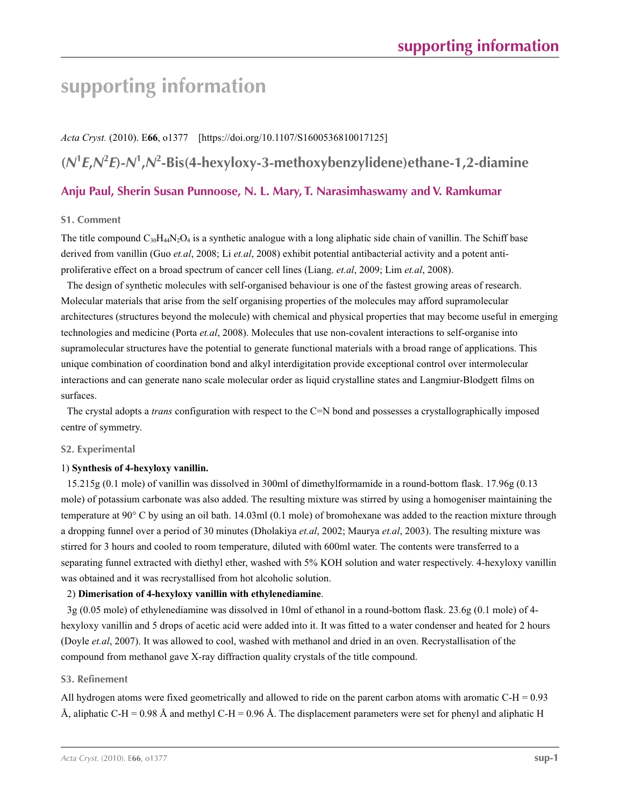# **supporting information**

*Acta Cryst.* (2010). E**66**, o1377 [https://doi.org/10.1107/S1600536810017125]

**(***N***<sup>1</sup>** *E***,***N***<sup>2</sup>** *E***)-***N***<sup>1</sup> ,***N***<sup>2</sup> -Bis(4-hexyloxy-3-methoxybenzylidene)ethane-1,2-diamine**

## **Anju Paul, Sherin Susan Punnoose, N. L. Mary, T. Narasimhaswamy and V. Ramkumar**

#### **S1. Comment**

The title compound  $C_{30}H_{44}N_{2}O_4$  is a synthetic analogue with a long aliphatic side chain of vanillin. The Schiff base derived from vanillin (Guo *et.al*, 2008; Li *et.al*, 2008) exhibit potential antibacterial activity and a potent antiproliferative effect on a broad spectrum of cancer cell lines (Liang. *et.al*, 2009; Lim *et.al*, 2008).

The design of synthetic molecules with self-organised behaviour is one of the fastest growing areas of research. Molecular materials that arise from the self organising properties of the molecules may afford supramolecular architectures (structures beyond the molecule) with chemical and physical properties that may become useful in emerging technologies and medicine (Porta *et.al*, 2008). Molecules that use non-covalent interactions to self-organise into supramolecular structures have the potential to generate functional materials with a broad range of applications. This unique combination of coordination bond and alkyl interdigitation provide exceptional control over intermolecular interactions and can generate nano scale molecular order as liquid crystalline states and Langmiur-Blodgett films on surfaces.

The crystal adopts a *trans* configuration with respect to the C=N bond and possesses a crystallographically imposed centre of symmetry.

#### **S2. Experimental**

#### 1) **Synthesis of 4-hexyloxy vanillin.**

15.215g (0.1 mole) of vanillin was dissolved in 300ml of dimethylformamide in a round-bottom flask. 17.96g (0.13 mole) of potassium carbonate was also added. The resulting mixture was stirred by using a homogeniser maintaining the temperature at 90° C by using an oil bath. 14.03ml (0.1 mole) of bromohexane was added to the reaction mixture through a dropping funnel over a period of 30 minutes (Dholakiya *et.al*, 2002; Maurya *et.al*, 2003). The resulting mixture was stirred for 3 hours and cooled to room temperature, diluted with 600ml water. The contents were transferred to a separating funnel extracted with diethyl ether, washed with 5% KOH solution and water respectively. 4-hexyloxy vanillin was obtained and it was recrystallised from hot alcoholic solution.

#### 2) **Dimerisation of 4-hexyloxy vanillin with ethylenediamine**.

3g (0.05 mole) of ethylenediamine was dissolved in 10ml of ethanol in a round-bottom flask. 23.6g (0.1 mole) of 4 hexyloxy vanillin and 5 drops of acetic acid were added into it. It was fitted to a water condenser and heated for 2 hours (Doyle *et.al*, 2007). It was allowed to cool, washed with methanol and dried in an oven. Recrystallisation of the compound from methanol gave X-ray diffraction quality crystals of the title compound.

### **S3. Refinement**

All hydrogen atoms were fixed geometrically and allowed to ride on the parent carbon atoms with aromatic C-H =  $0.93$ Å, aliphatic C-H = 0.98 Å and methyl C-H = 0.96 Å. The displacement parameters were set for phenyl and aliphatic H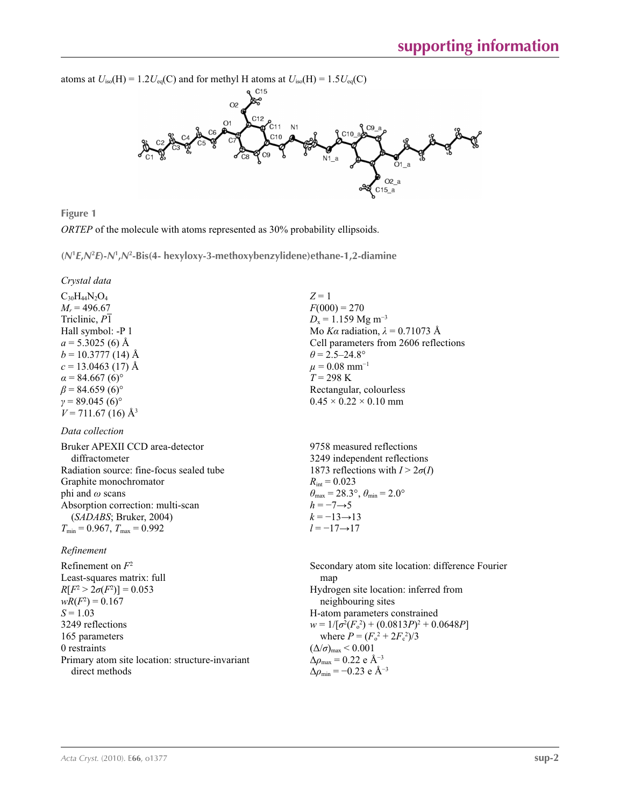

**Figure 1**

*ORTEP* of the molecule with atoms represented as 30% probability ellipsoids.

**(***N***<sup>1</sup>** *E***,***N***<sup>2</sup>** *E***)-***N***<sup>1</sup> ,***N***<sup>2</sup> -Bis(4- hexyloxy-3-methoxybenzylidene)ethane-1,2-diamine** 

*Crystal data*

 $C_{30}H_{44}N_2O_4$  $M_r = 496.67$ Triclinic, *P*1 Hall symbol: -P 1  $a = 5.3025$  (6) Å  $b = 10.3777(14)$  Å  $c = 13.0463$  (17) Å  $\alpha$  = 84.667 (6)<sup>o</sup>  $\beta$  = 84.659 (6)<sup>o</sup>  $γ = 89.045(6)°$  $V = 711.67(16)$  Å<sup>3</sup>

#### *Data collection*

Bruker APEXII CCD area-detector diffractometer Radiation source: fine-focus sealed tube Graphite monochromator phi and *ω* scans Absorption correction: multi-scan (*SADABS*; Bruker, 2004)  $T_{\text{min}} = 0.967$ ,  $T_{\text{max}} = 0.992$ 

#### *Refinement*

Refinement on *F*<sup>2</sup> Least-squares matrix: full  $R[F^2 > 2\sigma(F^2)] = 0.053$  $wR(F^2) = 0.167$  $S = 1.03$ 3249 reflections 165 parameters 0 restraints Primary atom site location: structure-invariant direct methods

*Z* = 1  $F(000) = 270$  $D_x = 1.159$  Mg m<sup>-3</sup> Mo *Kα* radiation, *λ* = 0.71073 Å Cell parameters from 2606 reflections  $\theta$  = 2.5–24.8°  $\mu = 0.08$  mm<sup>-1</sup> *T* = 298 K Rectangular, colourless  $0.45 \times 0.22 \times 0.10$  mm

9758 measured reflections 3249 independent reflections 1873 reflections with  $I > 2\sigma(I)$  $R_{\text{int}} = 0.023$  $\theta_{\text{max}} = 28.3^{\circ}, \theta_{\text{min}} = 2.0^{\circ}$  $h = -7 \rightarrow 5$  $k = -13 \rightarrow 13$ *l* = −17→17

Secondary atom site location: difference Fourier map Hydrogen site location: inferred from neighbouring sites H-atom parameters constrained  $w = 1/[\sigma^2 (F_0^2) + (0.0813P)^2 + 0.0648P]$ where  $P = (F_0^2 + 2F_c^2)/3$  $(\Delta/\sigma)_{\text{max}}$  < 0.001  $\Delta\rho_{\text{max}} = 0.22$  e Å<sup>-3</sup>  $\Delta\rho_{\rm min}$  = −0.23 e Å<sup>-3</sup>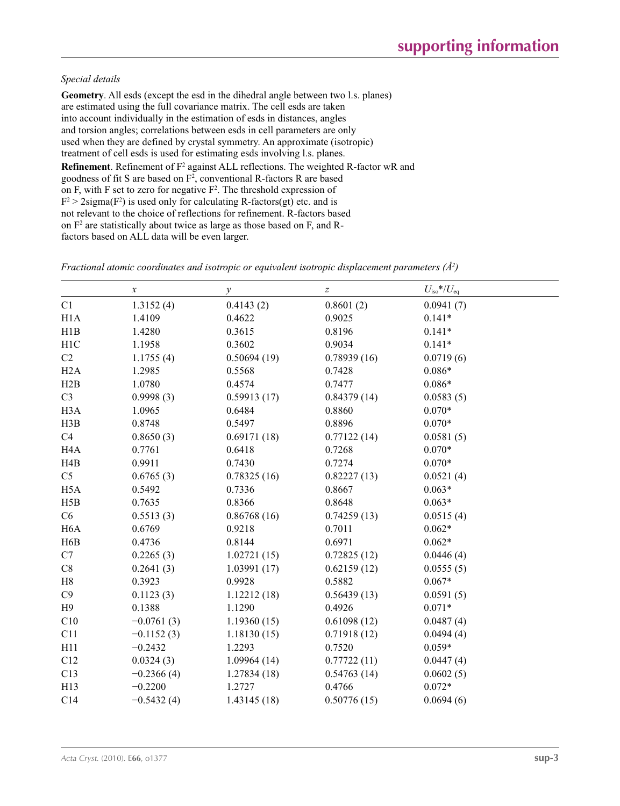#### *Special details*

**Geometry**. All esds (except the esd in the dihedral angle between two l.s. planes) are estimated using the full covariance matrix. The cell esds are taken into account individually in the estimation of esds in distances, angles and torsion angles; correlations between esds in cell parameters are only used when they are defined by crystal symmetry. An approximate (isotropic) treatment of cell esds is used for estimating esds involving l.s. planes. **Refinement**. Refinement of F<sup>2</sup> against ALL reflections. The weighted R-factor wR and goodness of fit S are based on  $F^2$ , conventional R-factors R are based on F, with F set to zero for negative  $F^2$ . The threshold expression of  $F^2 > 2$ sigma( $F^2$ ) is used only for calculating R-factors(gt) etc. and is not relevant to the choice of reflections for refinement. R-factors based on  $F<sup>2</sup>$  are statistically about twice as large as those based on F, and Rfactors based on ALL data will be even larger.

|                  | $\boldsymbol{x}$ | $\mathcal{Y}$ | $\boldsymbol{Z}$ | $U_{\text{iso}}$ */ $U_{\text{eq}}$ |
|------------------|------------------|---------------|------------------|-------------------------------------|
| C1               | 1.3152(4)        | 0.4143(2)     | 0.8601(2)        | 0.0941(7)                           |
| H1A              | 1.4109           | 0.4622        | 0.9025           | $0.141*$                            |
| H1B              | 1.4280           | 0.3615        | 0.8196           | $0.141*$                            |
| H <sub>1</sub> C | 1.1958           | 0.3602        | 0.9034           | $0.141*$                            |
| C2               | 1.1755(4)        | 0.50694(19)   | 0.78939(16)      | 0.0719(6)                           |
| H2A              | 1.2985           | 0.5568        | 0.7428           | $0.086*$                            |
| H2B              | 1.0780           | 0.4574        | 0.7477           | $0.086*$                            |
| C <sub>3</sub>   | 0.9998(3)        | 0.59913(17)   | 0.84379(14)      | 0.0583(5)                           |
| H <sub>3</sub> A | 1.0965           | 0.6484        | 0.8860           | $0.070*$                            |
| H3B              | 0.8748           | 0.5497        | 0.8896           | $0.070*$                            |
| C4               | 0.8650(3)        | 0.69171(18)   | 0.77122(14)      | 0.0581(5)                           |
| H <sub>4</sub> A | 0.7761           | 0.6418        | 0.7268           | $0.070*$                            |
| H4B              | 0.9911           | 0.7430        | 0.7274           | $0.070*$                            |
| C <sub>5</sub>   | 0.6765(3)        | 0.78325(16)   | 0.82227(13)      | 0.0521(4)                           |
| H <sub>5</sub> A | 0.5492           | 0.7336        | 0.8667           | $0.063*$                            |
| H5B              | 0.7635           | 0.8366        | 0.8648           | $0.063*$                            |
| C6               | 0.5513(3)        | 0.86768(16)   | 0.74259(13)      | 0.0515(4)                           |
| H <sub>6</sub> A | 0.6769           | 0.9218        | 0.7011           | $0.062*$                            |
| H6B              | 0.4736           | 0.8144        | 0.6971           | $0.062*$                            |
| C7               | 0.2265(3)        | 1.02721(15)   | 0.72825(12)      | 0.0446(4)                           |
| C8               | 0.2641(3)        | 1.03991(17)   | 0.62159(12)      | 0.0555(5)                           |
| H8               | 0.3923           | 0.9928        | 0.5882           | $0.067*$                            |
| C9               | 0.1123(3)        | 1.12212(18)   | 0.56439(13)      | 0.0591(5)                           |
| H9               | 0.1388           | 1.1290        | 0.4926           | $0.071*$                            |
| C10              | $-0.0761(3)$     | 1.19360(15)   | 0.61098(12)      | 0.0487(4)                           |
| C11              | $-0.1152(3)$     | 1.18130(15)   | 0.71918(12)      | 0.0494(4)                           |
| H11              | $-0.2432$        | 1.2293        | 0.7520           | $0.059*$                            |
| C12              | 0.0324(3)        | 1.09964(14)   | 0.77722(11)      | 0.0447(4)                           |
| C13              | $-0.2366(4)$     | 1.27834(18)   | 0.54763(14)      | 0.0602(5)                           |
| H13              | $-0.2200$        | 1.2727        | 0.4766           | $0.072*$                            |
| C14              | $-0.5432(4)$     | 1.43145(18)   | 0.50776(15)      | 0.0694(6)                           |

*Fractional atomic coordinates and isotropic or equivalent isotropic displacement parameters (Å2 )*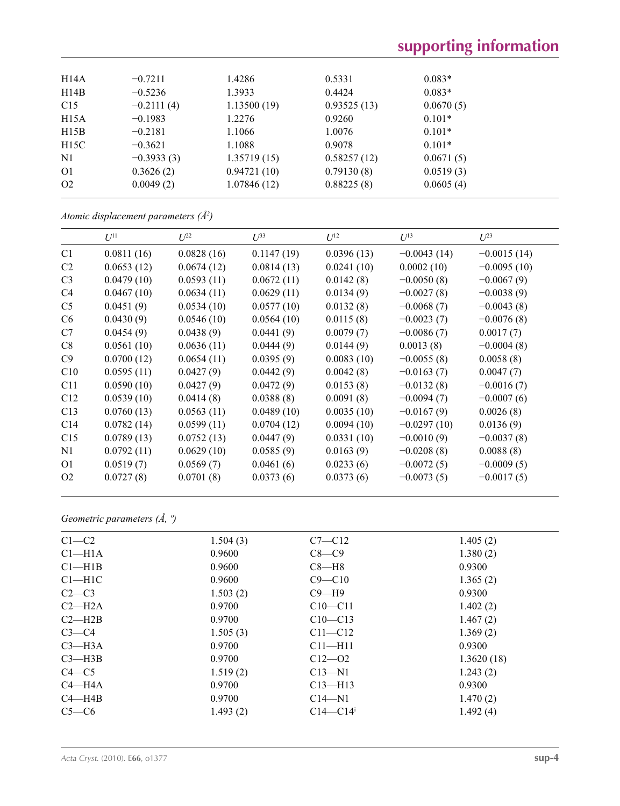# **supporting information**

| H <sub>14</sub> A | $-0.7211$    | 1.4286      | 0.5331      | $0.083*$  |  |
|-------------------|--------------|-------------|-------------|-----------|--|
| H14B              | $-0.5236$    | 1.3933      | 0.4424      | $0.083*$  |  |
| C15               | $-0.2111(4)$ | 1.13500(19) | 0.93525(13) | 0.0670(5) |  |
| H15A              | $-0.1983$    | 1.2276      | 0.9260      | $0.101*$  |  |
| H15B              | $-0.2181$    | 1.1066      | 1.0076      | $0.101*$  |  |
| H15C              | $-0.3621$    | 1.1088      | 0.9078      | $0.101*$  |  |
| N <sub>1</sub>    | $-0.3933(3)$ | 1.35719(15) | 0.58257(12) | 0.0671(5) |  |
| O <sub>1</sub>    | 0.3626(2)    | 0.94721(10) | 0.79130(8)  | 0.0519(3) |  |
| O <sub>2</sub>    | 0.0049(2)    | 1.07846(12) | 0.88225(8)  | 0.0605(4) |  |
|                   |              |             |             |           |  |

*Atomic displacement parameters (Å2 )*

|                | $U^{11}$   | $U^{22}$   | $U^{33}$   | $U^{12}$   | $U^{13}$      | $U^{23}$      |
|----------------|------------|------------|------------|------------|---------------|---------------|
| C <sub>1</sub> | 0.0811(16) | 0.0828(16) | 0.1147(19) | 0.0396(13) | $-0.0043(14)$ | $-0.0015(14)$ |
| C <sub>2</sub> | 0.0653(12) | 0.0674(12) | 0.0814(13) | 0.0241(10) | 0.0002(10)    | $-0.0095(10)$ |
| C <sub>3</sub> | 0.0479(10) | 0.0593(11) | 0.0672(11) | 0.0142(8)  | $-0.0050(8)$  | $-0.0067(9)$  |
| C <sub>4</sub> | 0.0467(10) | 0.0634(11) | 0.0629(11) | 0.0134(9)  | $-0.0027(8)$  | $-0.0038(9)$  |
| C <sub>5</sub> | 0.0451(9)  | 0.0534(10) | 0.0577(10) | 0.0132(8)  | $-0.0068(7)$  | $-0.0043(8)$  |
| C <sub>6</sub> | 0.0430(9)  | 0.0546(10) | 0.0564(10) | 0.0115(8)  | $-0.0023(7)$  | $-0.0076(8)$  |
| C7             | 0.0454(9)  | 0.0438(9)  | 0.0441(9)  | 0.0079(7)  | $-0.0086(7)$  | 0.0017(7)     |
| C8             | 0.0561(10) | 0.0636(11) | 0.0444(9)  | 0.0144(9)  | 0.0013(8)     | $-0.0004(8)$  |
| C9             | 0.0700(12) | 0.0654(11) | 0.0395(9)  | 0.0083(10) | $-0.0055(8)$  | 0.0058(8)     |
| C10            | 0.0595(11) | 0.0427(9)  | 0.0442(9)  | 0.0042(8)  | $-0.0163(7)$  | 0.0047(7)     |
| C11            | 0.0590(10) | 0.0427(9)  | 0.0472(9)  | 0.0153(8)  | $-0.0132(8)$  | $-0.0016(7)$  |
| C12            | 0.0539(10) | 0.0414(8)  | 0.0388(8)  | 0.0091(8)  | $-0.0094(7)$  | $-0.0007(6)$  |
| C13            | 0.0760(13) | 0.0563(11) | 0.0489(10) | 0.0035(10) | $-0.0167(9)$  | 0.0026(8)     |
| C14            | 0.0782(14) | 0.0599(11) | 0.0704(12) | 0.0094(10) | $-0.0297(10)$ | 0.0136(9)     |
| C15            | 0.0789(13) | 0.0752(13) | 0.0447(9)  | 0.0331(10) | $-0.0010(9)$  | $-0.0037(8)$  |
| N1             | 0.0792(11) | 0.0629(10) | 0.0585(9)  | 0.0163(9)  | $-0.0208(8)$  | 0.0088(8)     |
| 01             | 0.0519(7)  | 0.0569(7)  | 0.0461(6)  | 0.0233(6)  | $-0.0072(5)$  | $-0.0009(5)$  |
| O <sub>2</sub> | 0.0727(8)  | 0.0701(8)  | 0.0373(6)  | 0.0373(6)  | $-0.0073(5)$  | $-0.0017(5)$  |

*Geometric parameters (Å, º)*

| $C1-C2$            | 1.504(3) | $C7 - C12$               | 1.405(2)   |
|--------------------|----------|--------------------------|------------|
| Cl <sub>–H1A</sub> | 0.9600   | $C8-C9$                  | 1.380(2)   |
| $Cl$ —H1B          | 0.9600   | $C8 - H8$                | 0.9300     |
| $C1-H1C$           | 0.9600   | $C9 - C10$               | 1.365(2)   |
| $C2-C3$            | 1.503(2) | $C9 - H9$                | 0.9300     |
| $C2-H2A$           | 0.9700   | $C10 - C11$              | 1.402(2)   |
| $C2 - H2B$         | 0.9700   | $C10 - C13$              | 1.467(2)   |
| $C3-C4$            | 1.505(3) | $C11 - C12$              | 1.369(2)   |
| $C3$ —H3A          | 0.9700   | $C11$ —H $11$            | 0.9300     |
| $C3 - H3B$         | 0.9700   | $C12 - 02$               | 1.3620(18) |
| $C4 - C5$          | 1.519(2) | $C13 - N1$               | 1.243(2)   |
| $C4 - H4A$         | 0.9700   | $C13$ —H13               | 0.9300     |
| $C4 - H4B$         | 0.9700   | $C14 - N1$               | 1.470(2)   |
| $C5-C6$            | 1.493(2) | $C14 - C14$ <sup>i</sup> | 1.492(4)   |
|                    |          |                          |            |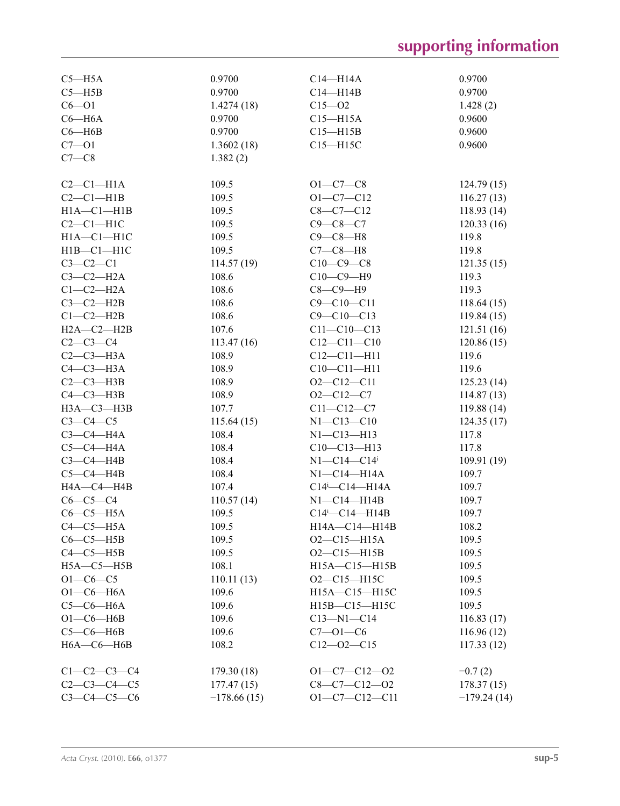# **supporting information**

| $C5 - H5A$          | 0.9700        | $C14 - H14A$                     | 0.9700        |
|---------------------|---------------|----------------------------------|---------------|
| $C5 - H5B$          | 0.9700        | $C14 - H14B$                     | 0.9700        |
| $C6 - O1$           | 1.4274(18)    | $C15 - 02$                       | 1.428(2)      |
| $C6 - H6A$          | 0.9700        | $C15 - H15A$                     | 0.9600        |
| $C6 - H6B$          | 0.9700        | $C15 - H15B$                     | 0.9600        |
| $C7 - O1$           | 1.3602(18)    | $C15 - H15C$                     | 0.9600        |
| $C7-C8$             | 1.382(2)      |                                  |               |
|                     |               |                                  |               |
| $C2-C1-H1A$         | 109.5         | $O1 - C7 - C8$                   | 124.79(15)    |
| $C2-C1-H1B$         | 109.5         | $O1 - C7 - C12$                  | 116.27(13)    |
| $H1A - C1 - H1B$    | 109.5         | $C8 - C7 - C12$                  | 118.93(14)    |
| $C2-C1-H1C$         | 109.5         | $C9 - C8 - C7$                   | 120.33(16)    |
|                     |               |                                  |               |
| $H1A - C1 - H1C$    | 109.5         | $C9-C8-H8$                       | 119.8         |
| $H1B - C1 - H1C$    | 109.5         | $C7-C8-H8$                       | 119.8         |
| $C3-C2-C1$          | 114.57(19)    | $C10-C9-C8$                      | 121.35(15)    |
| $C3-C2-H2A$         | 108.6         | $C10-C9-H9$                      | 119.3         |
| $C1-C2-H2A$         | 108.6         | $C8-C9-H9$                       | 119.3         |
| $C3-C2-H2B$         | 108.6         | $C9 - C10 - C11$                 | 118.64(15)    |
| $C1-C2-H2B$         | 108.6         | $C9 - C10 - C13$                 | 119.84(15)    |
| $H2A - C2 - H2B$    | 107.6         | $C11 - C10 - C13$                | 121.51(16)    |
| $C2-C3-C4$          | 113.47(16)    | $C12 - C11 - C10$                | 120.86(15)    |
| $C2-C3-H3A$         | 108.9         | $C12 - C11 - H11$                | 119.6         |
| $C4-C3-H3A$         | 108.9         | $C10-C11-H11$                    | 119.6         |
| $C2-C3-H3B$         | 108.9         | $O2 - C12 - C11$                 | 125.23(14)    |
| $C4-C3-H3B$         | 108.9         | $O2 - C12 - C7$                  | 114.87(13)    |
| НЗА-СЗ-НЗВ          | 107.7         | $C11 - C12 - C7$                 | 119.88(14)    |
| $C3-C4-C5$          | 115.64(15)    | $N1 - C13 - C10$                 | 124.35(17)    |
| $C3-C4-H4A$         | 108.4         | $N1 - C13 - H13$                 | 117.8         |
| $C5-C4-H4A$         | 108.4         | $C10-C13-H13$                    | 117.8         |
| $C3-C4-H4B$         | 108.4         | N1--C14---C14 <sup>i</sup>       | 109.91(19)    |
| $C5-C4-H4B$         | 108.4         | N1--C14---H14A                   | 109.7         |
| HA—C4—H4B           | 107.4         | $C14$ <sup>i</sup> - $C14$ -H14A | 109.7         |
| $C6-C5-C4$          | 110.57(14)    | $NI$ - $C14$ - $H14B$            | 109.7         |
| $C6-C5-H5A$         | 109.5         | $C14$ <sup>i</sup> - $C14$ -H14B | 109.7         |
| $C4-C5-H5A$         | 109.5         | H14A-C14-H14B                    | 108.2         |
| $C6-C5-H5B$         | 109.5         | $O2-C15-H15A$                    | 109.5         |
| $C4-C5-H5B$         | 109.5         | $O2 - C15 - H15B$                | 109.5         |
|                     | 108.1         |                                  |               |
| $H5A - C5 - H5B$    |               | H15A-C15-H15B                    | 109.5         |
| $O1 - C6 - C5$      | 110.11(13)    | $O2 - C15 - H15C$                | 109.5         |
| $O1-C6-H6A$         | 109.6         | H15A-C15-H15C                    | 109.5         |
| $C5-C6-H6A$         | 109.6         | H15B-C15-H15C                    | 109.5         |
| $O1-C6$ -H6B        | 109.6         | $C13 - N1 - C14$                 | 116.83(17)    |
| $C5-C6-HAB$         | 109.6         | $C7 - 01 - C6$                   | 116.96(12)    |
| $H6A - C6 - H6B$    | 108.2         | $C12 - 02 - C15$                 | 117.33(12)    |
| $C1 - C2 - C3 - C4$ | 179.30(18)    | $O1-C7-C12-O2$                   | $-0.7(2)$     |
| $C2 - C3 - C4 - C5$ | 177.47(15)    | $C8-C7-C12-O2$                   | 178.37(15)    |
| $C3 - C4 - C5 - C6$ |               | $O1 - C7 - C12 - C11$            |               |
|                     | $-178.66(15)$ |                                  | $-179.24(14)$ |